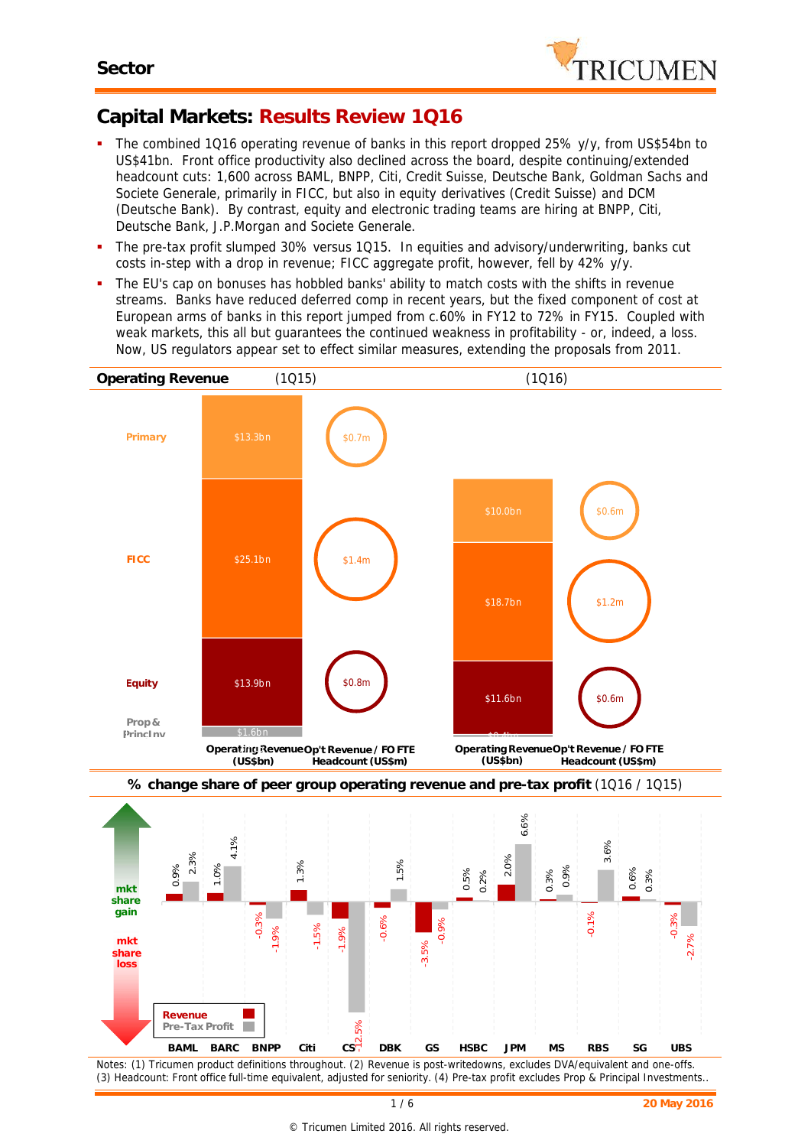

## **Capital Markets: Results Review 1Q16**

- The combined 1Q16 operating revenue of banks in this report dropped 25% y/y, from US\$54bn to US\$41bn. Front office productivity also declined across the board, despite continuing/extended headcount cuts: 1,600 across BAML, BNPP, Citi, Credit Suisse, Deutsche Bank, Goldman Sachs and Societe Generale, primarily in FICC, but also in equity derivatives (Credit Suisse) and DCM (Deutsche Bank). By contrast, equity and electronic trading teams are hiring at BNPP, Citi, Deutsche Bank, J.P.Morgan and Societe Generale.
- The pre-tax profit slumped 30% versus 1Q15. In equities and advisory/underwriting, banks cut costs in-step with a drop in revenue; FICC aggregate profit, however, fell by 42% y/y.
- The EU's cap on bonuses has hobbled banks' ability to match costs with the shifts in revenue streams. Banks have reduced deferred comp in recent years, but the fixed component of cost at European arms of banks in this report jumped from c.60% in FY12 to 72% in FY15. Coupled with weak markets, this all but guarantees the continued weakness in profitability - or, indeed, a loss. Now, US regulators appear set to effect similar measures, extending the proposals from 2011.

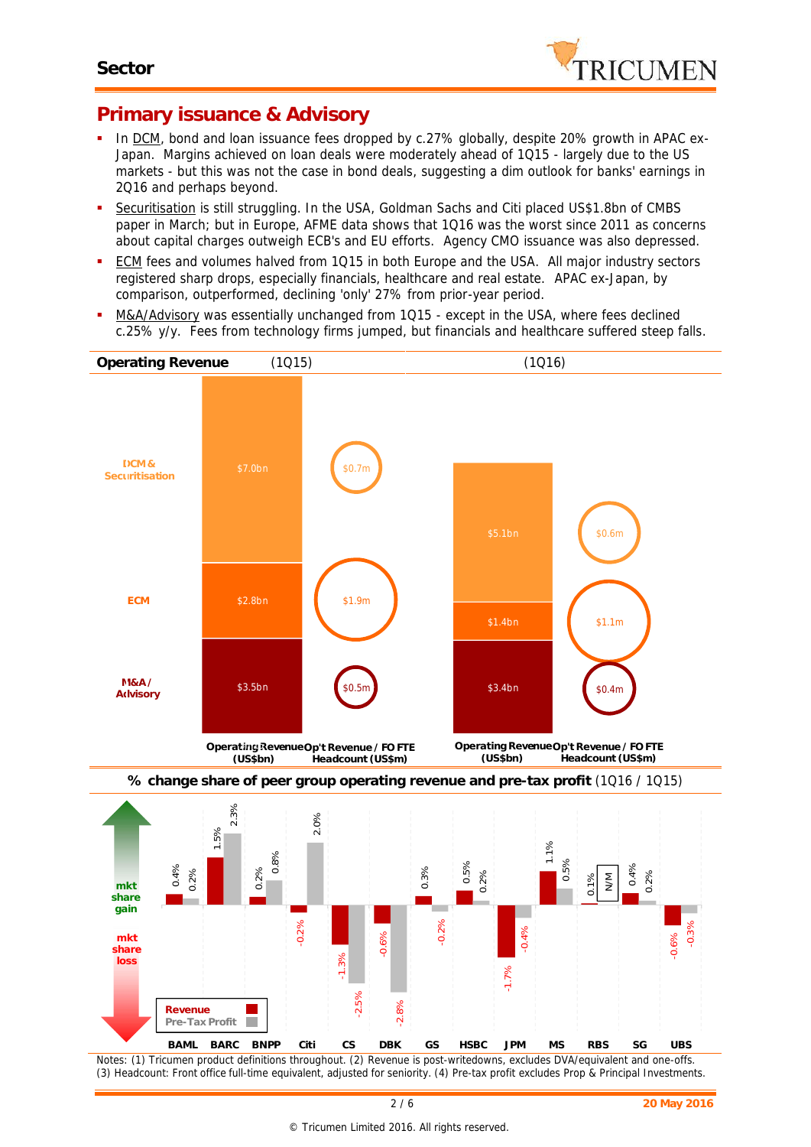

#### **Primary issuance & Advisory**

- In DCM, bond and loan issuance fees dropped by c.27% globally, despite 20% growth in APAC ex-Japan. Margins achieved on loan deals were moderately ahead of 1Q15 - largely due to the US markets - but this was not the case in bond deals, suggesting a dim outlook for banks' earnings in 2Q16 and perhaps beyond.
- Securitisation is still struggling. In the USA, Goldman Sachs and Citi placed US\$1.8bn of CMBS paper in March; but in Europe, AFME data shows that 1Q16 was the worst since 2011 as concerns about capital charges outweigh ECB's and EU efforts. Agency CMO issuance was also depressed.
- **ECM fees and volumes halved from 1Q15 in both Europe and the USA. All major industry sectors** registered sharp drops, especially financials, healthcare and real estate. APAC ex-Japan, by comparison, outperformed, declining 'only' 27% from prior-year period.
- M&A/Advisory was essentially unchanged from 1Q15 except in the USA, where fees declined c.25% y/y. Fees from technology firms jumped, but financials and healthcare suffered steep falls.



*Notes: (1) Tricumen product definitions throughout. (2) Revenue is post-writedowns, excludes DVA/equivalent and one-offs. (3) Headcount: Front office full-time equivalent, adjusted for seniority. (4) Pre-tax profit excludes Prop & Principal Investments.*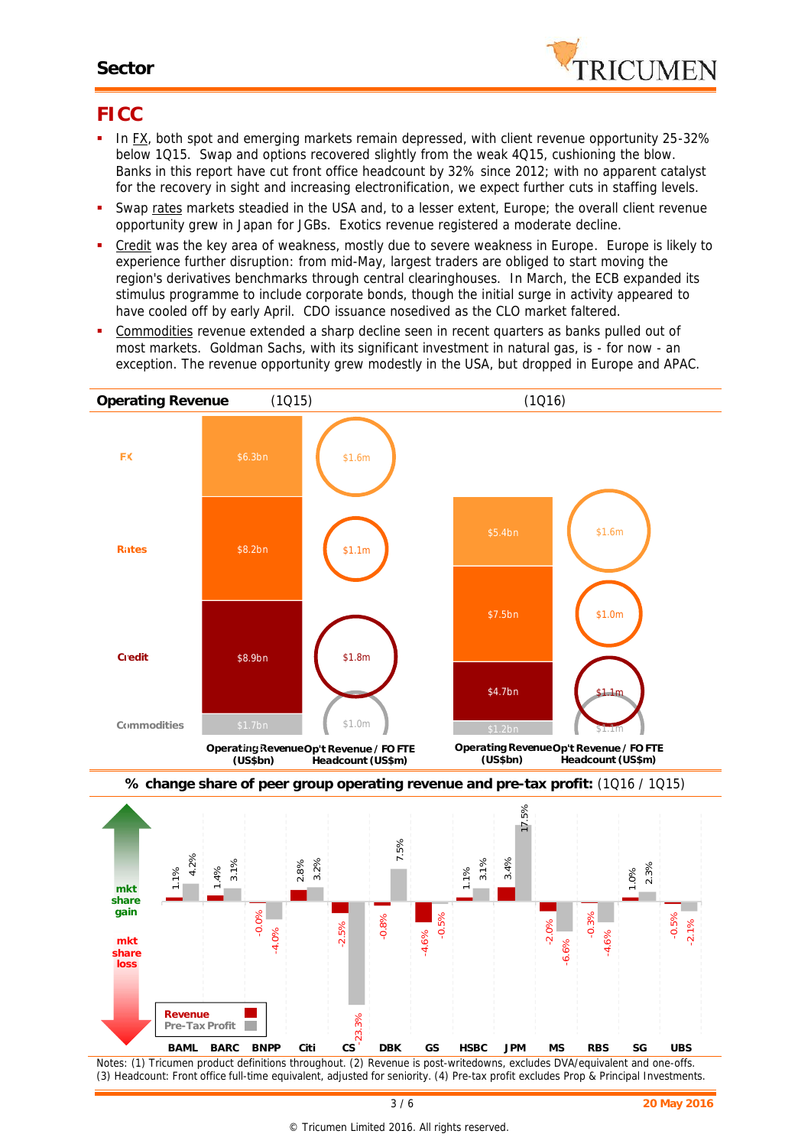#### **Sector**



#### **FICC**

- In FX, both spot and emerging markets remain depressed, with client revenue opportunity 25-32% below 1Q15. Swap and options recovered slightly from the weak 4Q15, cushioning the blow. Banks in this report have cut front office headcount by 32% since 2012; with no apparent catalyst for the recovery in sight and increasing electronification, we expect further cuts in staffing levels.
- Swap rates markets steadied in the USA and, to a lesser extent, Europe; the overall client revenue opportunity grew in Japan for JGBs. Exotics revenue registered a moderate decline.
- Credit was the key area of weakness, mostly due to severe weakness in Europe. Europe is likely to experience further disruption: from mid-May, largest traders are obliged to start moving the region's derivatives benchmarks through central clearinghouses. In March, the ECB expanded its stimulus programme to include corporate bonds, though the initial surge in activity appeared to have cooled off by early April. CDO issuance nosedived as the CLO market faltered.
- Commodities revenue extended a sharp decline seen in recent quarters as banks pulled out of most markets. Goldman Sachs, with its significant investment in natural gas, is - for now - an exception. The revenue opportunity grew modestly in the USA, but dropped in Europe and APAC.



*Notes: (1) Tricumen product definitions throughout. (2) Revenue is post-writedowns, excludes DVA/equivalent and one-offs. (3) Headcount: Front office full-time equivalent, adjusted for seniority. (4) Pre-tax profit excludes Prop & Principal Investments.*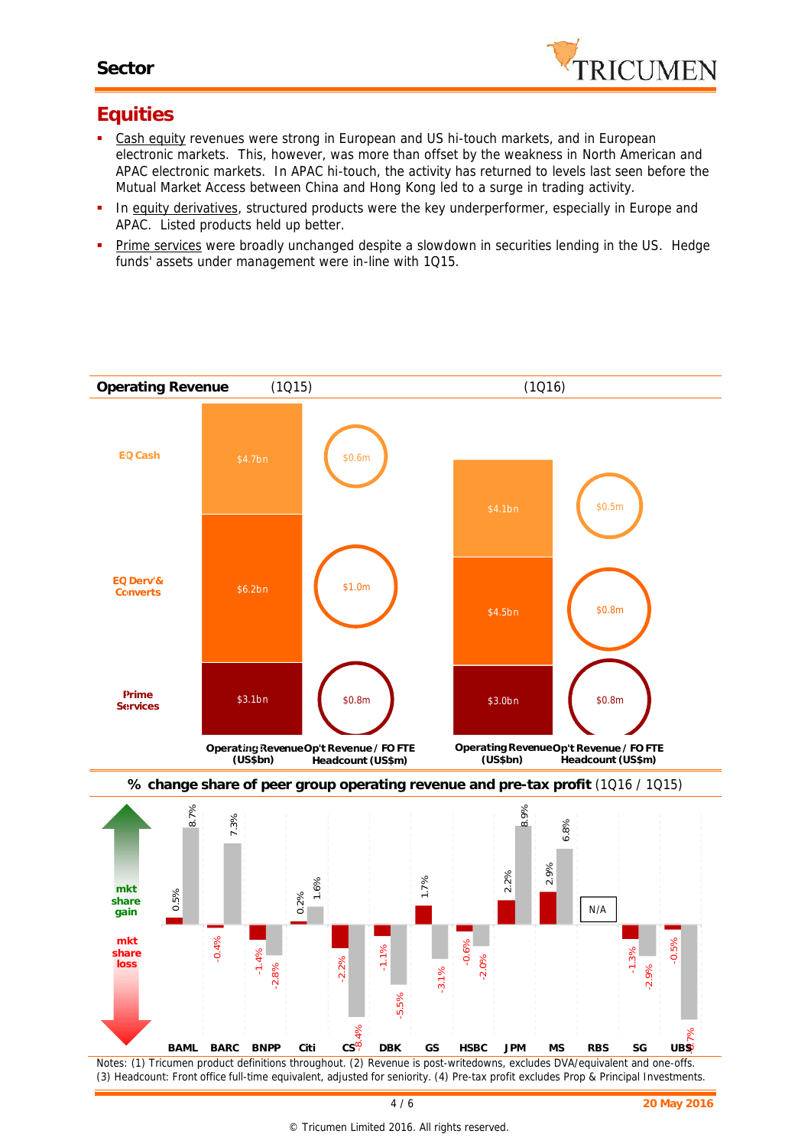

### **Equities**

- Cash equity revenues were strong in European and US hi-touch markets, and in European electronic markets. This, however, was more than offset by the weakness in North American and APAC electronic markets. In APAC hi-touch, the activity has returned to levels last seen before the Mutual Market Access between China and Hong Kong led to a surge in trading activity.
- **In equity derivatives**, structured products were the key underperformer, especially in Europe and APAC. Listed products held up better.
- **Prime services** were broadly unchanged despite a slowdown in securities lending in the US. Hedge funds' assets under management were in-line with 1Q15.



*(3) Headcount: Front office full-time equivalent, adjusted for seniority. (4) Pre-tax profit excludes Prop & Principal Investments.*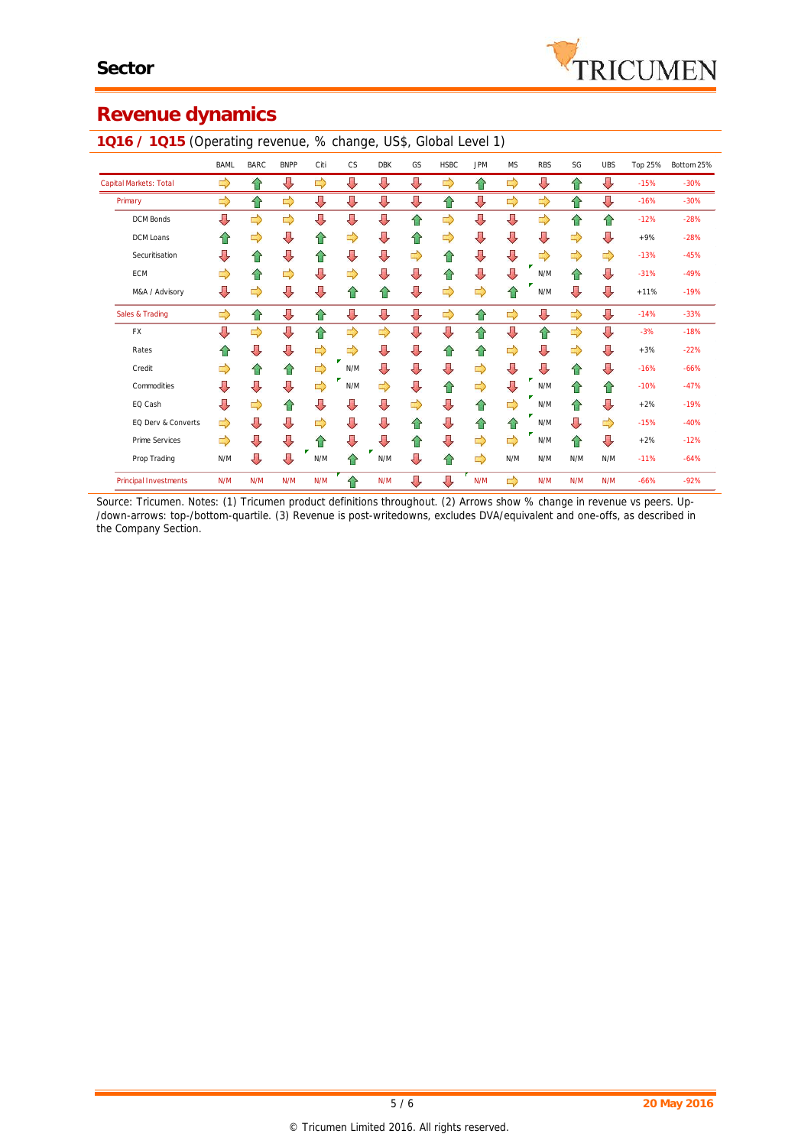# **Revenue dynamics**

|                              | <b>BAML</b> | <b>BARC</b> | <b>BNPP</b> | Citi | CS  | <b>DBK</b> | GS | <b>HSBC</b> | <b>JPM</b>    | <b>MS</b>     | <b>RBS</b> | SG  | <b>UBS</b> | Top 25% | Bottom 25% |
|------------------------------|-------------|-------------|-------------|------|-----|------------|----|-------------|---------------|---------------|------------|-----|------------|---------|------------|
| Capital Markets: Total       | ⇨           | ⇧           | ⇩           | ⇨    | ⇩   | ⇩          | ⇩  | ⇨           | ⇧             | ⇨             | ⇩          | ⇧   | ⇩          | $-15%$  | $-30%$     |
| Primary                      | ⇨           | ⇧           | ⇨           | ⇩    | ⇩   | ⇩          | ⇩  | ⇧           | ⇩             | ⇨             | ⇨          | 슙   | ⇩          | $-16%$  | $-30%$     |
| <b>DCM Bonds</b>             | ⇩           | ⇨           | ⇨           | ⇩    | ⇩   | ⇩          | ⇧  | ⇨           | ⇩             | ⇩             | ⇨          | ⇧   | ⇧          | $-12%$  | $-28%$     |
| DCM Loans                    | ⇧           | ⇨           | ⇩           | ⇧    | ⇨   | ⇩          | ⇧  | ⇨           | ⇩             | ⇩             | ⇩          | ⇨   | ⇩          | $+9%$   | $-28%$     |
| Securitisation               | ⇩           | ⇑           | ⇩           | ⇧    | ⇩   | ⇩          | ⇨  | ⇧           | ⇩             | ⇩             | ⇨          | ⇨   | ⇨          | $-13%$  | $-45%$     |
| <b>ECM</b>                   | ⇨           | ⇑           | ⇨           | ⇩    | ⇨   | ⇩          | ⇩  | ⇧           | ⇩             | ⇩             | N/M        | ⇧   | ⇩          | $-31%$  | $-49%$     |
| M&A / Advisory               | ⇩           | ⇨           | ⇩           | ⇩    | ⇧   | ⇧          | ⇩  | ⇨           | $\Rightarrow$ | ⇧             | N/M        | ⇩   | ⇩          | $+11%$  | $-19%$     |
| Sales & Trading              | ⇨           | ⇧           | ⇩           | ⇧    | ⇩   | ⇩          | ⇩  | ⇨           | ⇧             | $\Rightarrow$ | ⇩          | ⇨   | ⇩          | $-14%$  | $-33%$     |
| FX                           | ⇩           | ⇨           | ⇩           | ⇧    | ⇨   | ⇨          | ⇩  | ⇩           | ⇧             | ⇩             | ⇧          | ⇨   | ⇩          | $-3%$   | $-18%$     |
| Rates                        | ⇑           | ⇩           | ⇩           | ⇨    | ⇨   | ⇩          | ⇩  | ⇧           | ⇧             | ⇨             | ⇩          | ⇨   | ⇩          | $+3%$   | $-22%$     |
| Credit                       | ⇨           | ⇑           | ⇑           | ⇨    | N/M | ⇩          | ⇩  | ⇩           | ⇨             | ⇩             | $\sqrt{2}$ | ⇑   | ⇩          | $-16%$  | $-66%$     |
| Commodities                  | U           | ⇩           | ⇩           | ⇨    | N/M | ⇨          | ⇩  | ⇧           | $\Rightarrow$ | ⇩             | N/M        | ⇑   | ⇧          | $-10%$  | $-47%$     |
| EQ Cash                      | ⇩           | ⇨           | ⇑           | ⇩    | ⇩   | ⇩          | ⇨  | ⇩           | 슙             | ⇨             | N/M        | ⇑   | ⇩          | $+2%$   | $-19%$     |
| EQ Derv & Converts           | ⇨           | ⇩           | ⇩           | ⇨    | ⇩   | ⇩          | ⇧  | ⇩           | ⇧             | ⇑             | N/M        | ⇩   | ⇨          | $-15%$  | $-40%$     |
| Prime Services               | ⇨           | ⇩           | ⇩           | ⇑    | ⇩   | ⇩          | ⇧  | ⇩           | $\Rightarrow$ | ⇨             | N/M        | ⇑   | ⇩          | $+2%$   | $-12%$     |
| Prop Trading                 | N/M         | ⇩           | ⇩           | N/M  | ⇑   | N/M        | ⇩  | ⇧           | ⇨             | N/M           | N/M        | N/M | N/M        | $-11%$  | $-64%$     |
| <b>Principal Investments</b> | N/M         | N/M         | N/M         | N/M  | ⇧   | N/M        | ⇩  | ⇩           | N/M           | ⇨             | N/M        | N/M | N/M        | $-66%$  | $-92%$     |

**1Q16 / 1Q15** (Operating revenue, % change, US\$, Global Level 1)

*Source: Tricumen. Notes: (1) Tricumen product definitions throughout. (2) Arrows show % change in revenue vs peers. Up- /down-arrows: top-/bottom-quartile. (3) Revenue is post-writedowns, excludes DVA/equivalent and one-offs, as described in the Company Section.*